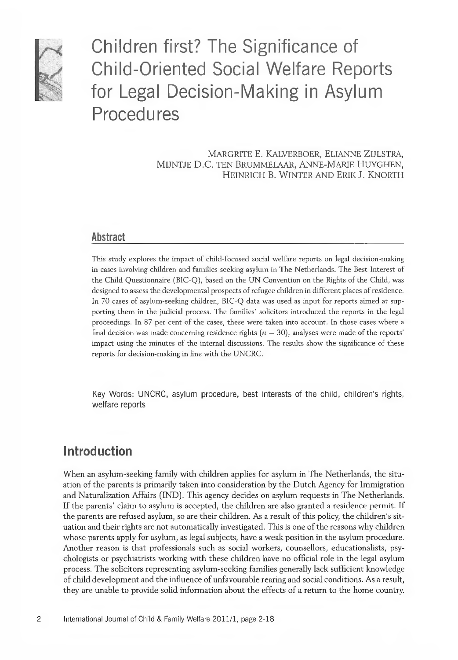

Children first? The Significance of Child-Oriented Social Welfare Reports for Legal Decision-Making in Asylum Procedures

> MARGRITE E. KALVERBOER, ELIANNE Z IJLSTRA, MIJNTJE D.C. TEN BRUMMELAAR, ANNE-MARIE HUYGHEN, HEINRICH B. WINTER AND ERIK J. KNORTH

### **Abstract**

This study explores the impact of child-focused social welfare reports on legal decision-making in cases involving children and families seeking asylum in The Netherlands. The Best Interest of the Child Questionnaire (BIC-Q), based on the UN Convention on the Rights of the Child, was designed to assess the developmental prospects of refugee children in different places of residence. In 70 cases of asylum-seeking children, BIC-Q data was used as input for reports aimed at supporting them in the judicial process. The families' solicitors introduced the reports in the legal proceedings. In 87 per cent of the cases, these were taken into account. In those cases where a final decision was made concerning residence rights  $(n = 30)$ , analyses were made of the reports' impact using the minutes of the internal discussions. The results show the significance of these reports for decision-making in fine with the UNCRC.

Key Words: UNCRC, asylum procedure, best interests of the child, children's rights, welfare reports

## **Introduction**

When an asylum-seeking family with children applies for asylum in The Netherlands, the situation of the parents is primarily taken into consideration by the Dutch Agency for Immigration and Naturalization Affairs (IND). This agency decides on asylum requests in The Netherlands. If the parents' claim to asylum is accepted, the children are also granted a residence permit. If the parents are refused asylum, so are their children. As a result of this policy, the children's situation and their rights are not automatically investigated. This is one of the reasons why children whose parents apply for asylum, as legal subjects, have a weak position in the asylum procedure. Another reason is that professionals such as social workers, counsellors, educationalists, psychologists or psychiatrists working with these children have no official role in the legal asylum process. The solicitors representing asylum-seeking families generally lack sufficient knowledge of child development and the influence of unfavourable rearing and social conditions. As a result, they are unable to provide solid information about the effects of a return to the home country.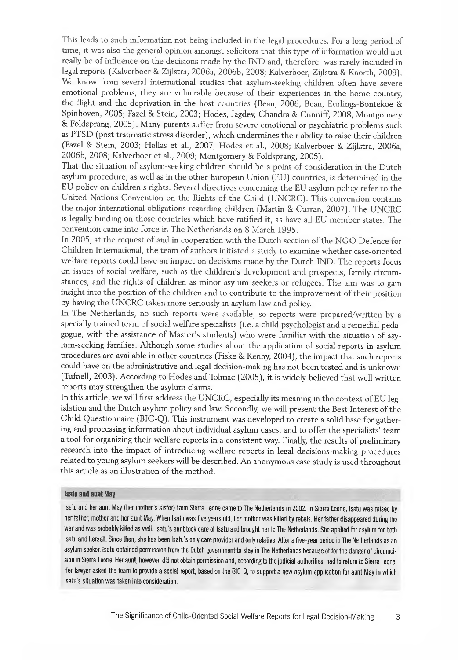This leads to such information not being included in the legal procedures. For a long period of time, it was also the general opinion amongst solicitors that this type of information would not really be of influence on the decisions made by the IND and, therefore, was rarely included in legal reports (Kalverboer & Zijlstra, 2006a, 2006b, 2008; Kalverboer, Zijlstra & Knorth, 2009). We know from several international studies that asylum-seeking children often have severe emotional problems; they are vulnerable because of their experiences in the home country, the flight and the deprivation in the host countries (Bean, 2006; Bean, Eurlings-Bontekoe & Spinhoven, 2005; Fazel & Stein, 2003; Hodes, Jagdev, Chandra & Cunniff, 2008; Montgomery & Foldsprang, 2005). Many parents suffer from severe emotional or psychiatric problems such as PTSD (post traumatic stress disorder), which undermines their ability to raise their children (Fazel & Stein, 2003; Hallas et al., 2007; Hodes et al., 2008; Kalverboer & Zijlstra, 2006a, 2006b, 2008; Kalverboer et al., 2009; Montgomery & Foldsprang, 2005).

That the situation of asylum-seeking children should be a point of consideration in the Dutch asylum procedure, as well as in the other European Union (EU) countries, is determined in the EU policy on children's rights. Several directives concerning the EU asylum policy refer to the United Nations Convention on the Rights of the Child (UNCRC). This convention contains the major international obligations regarding children (Martin & Curran, 2007). The UNCRC is legally binding on those countries which have ratified it, as have all EU member states. The convention came into force in The Netherlands on 8 March 1995.

In 2005, at the request of and in cooperation with the Dutch section of the NGO Defence for Children International, the team of authors initiated a study to examine whether case-oriented welfare reports could have an impact on decisions made by the Dutch IND. The reports focus on issues of social welfare, such as the children's development and prospects, family circumstances, and the rights of children as minor asylum seekers or refugees. The aim was to gain insight into the position of the children and to contribute to the improvement of their position by having the UNCRC taken more seriously in asylum law and policy.

In The Netherlands, no such reports were available, so reports were prepared/written by a specially trained team of social welfare specialists (i.e. a child psychologist and a remedial pedagogue, with the assistance of Master's students) who were familiar with the situation of asylum-seeking families. Although some studies about the application of social reports in asylum procedures are available in other countries (Fiske & Kenny, 2004), the impact that such reports could have on the administrative and legal decision-making has not been tested and is unknown (Tufnell, 2003). According to Hodes and Tolmac (2005), it is widely believed that well written reports may strengthen the asylum claims.

In this article, we will first address the UNCRC, especially its meaning in the context of EU legislation and the Dutch asylum policy and law. Secondly, we will present the Best Interest of the Child Questionnaire (BIC-Q). This instrument was developed to create a solid base for gathering and processing information about individual asylum cases, and to offer the specialists' team a tool for organizing their welfare reports in a consistent way. Finally, the results of preliminary research into the impact of introducing welfare reports in legal decisions-making procedures related to young asylum seekers will be described. An anonymous case study is used throughout this article as an illustration of the method.

#### **Isatu and aunt May**

Isatu and her aunt May (her mother's sister) from Sierra Leone came to The Netherlands in 2002. In Sierra Leone, Isatu was raised by her father, mother and her aunt May. When Isatu was five years old, her mother was killed by rebels. Her father disappeared during the war and was probably killed as well. Isatu's aunt took care of Isatu and brought her to The Netherlands. She applied for asylum for both Isatu and herself. Since then, she has been Isatu's only care provider and only relative. After a five-year period in The Netherlands as an asylum seeker, Isatu obtained permission from the Dutch government to stay in The Netherlands because of for the danger of circumcision in Sierra Leone. Her aunt, however, did not obtain permission and, according to the judicial authorities, had to return to Sierra Leone. Her lawyer asked the team to provide a social report, based on the BIC-Q, to support a new asylum application for aunt May in which Isatu's situation was taken into consideration.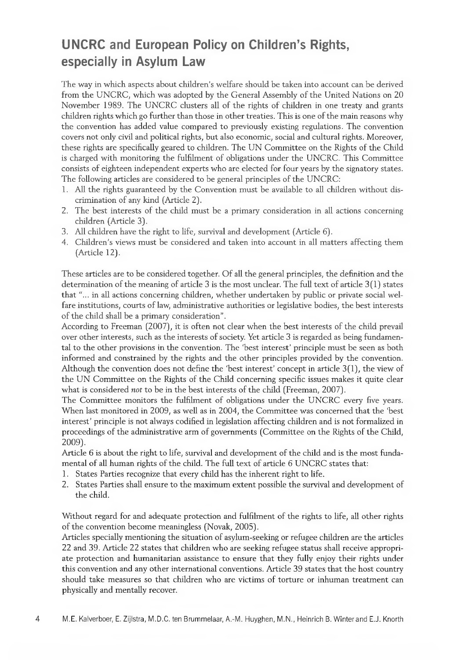# **UNCRC and European Policy on Children's Rights, especially in Asylum Law**

The way in which aspects about children's welfare should be taken into account can be derived from the UNCRC, which was adopted by the General Assembly of the United Nations on 20 November 1989. The UNCRC clusters all of the rights of children in one treaty and grants children rights which go further than those in other treaties. This is one of the main reasons why the convention has added value compared to previously existing regulations. The convention covers not only civil and political rights, but also economic, social and cultural rights. Moreover, these rights are specifically geared to children. The UN Committee on the Rights of the Child is charged with monitoring the fulfilment of obligations under the UNCRC. This Committee consists of eighteen independent experts who are elected for four years by the signatory states. The following articles are considered to be general principles of the UNCRC:

- 1. All the rights guaranteed by the Convention must be available to all children without discrimination of any kind (Article 2*).*
- 2. The best interests of the child must be a primary consideration in all actions concerning children (Article 3).
- 3. All children have the right to life, survival and development (Article 6).
- 4. Children's views must be considered and taken into account in all matters affecting them (Article 12).

These articles are to be considered together. Of all the general principles, the definition and the determination of the meaning of article 3 is the most unclear. The full text of article 3(1) states that "... in all actions concerning children, whether undertaken by public or private social welfare institutions, courts of law, administrative authorities or legislative bodies, the best interests of the child shall be a primary consideration".

According to Freeman (2007), it is often not clear when the best interests of the child prevail over other interests, such as the interests of society. Yet article 3 is regarded as being fundamental to the other provisions in the convention. The 'best interest' principle must be seen as both informed and constrained by the rights and the other principles provided by the convention. Although the convention does not define the 'best interest' concept in article 3(1), the view of the UN Committee on the Rights of the Child concerning specific issues makes it quite clear what is considered *not* to be in the best interests of the child (Freeman, 2007).

The Committee monitors the fulfilment of obligations under the UNCRC every five years. When last monitored in 2009, as well as in 2004, the Committee was concerned that the 'best interest' principle is not always codified in legislation affecting children and is not formalized in proceedings of the administrative arm of governments (Committee on the Rights of the Child, 2009).

Article 6 is about the right to life, survival and development of the child and is the most fundamental of all human rights of the child. The full text of article 6 UNCRC states that:

- 1. States Parties recognize that every child has the inherent right to life.
- 2. States Parties shall ensure to the maximum extent possible the survival and development of the child.

Without regard for and adequate protection and fulfilment of the rights to life, all other rights of the convention become meaningless (Novak, 2005).

Articles specially mentioning the situation of asylum-seeking or refugee children are the articles 22 and 39. Article 22 states that children who are seeking refugee status shall receive appropriate protection and humanitarian assistance to ensure that they fully enjoy their rights under this convention and any other international conventions. Article 39 states that the host country should take measures so that children who are victims of torture or inhuman treatment can physically and mentally recover.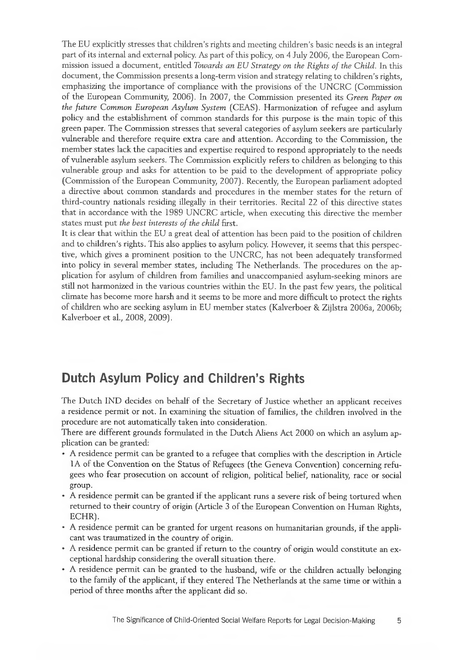The EU explicitly stresses that children's rights and meeting children's basic needs is an integral part of its internal and external policy. As part of this policy, on 4 July 2006, the European Commission issued a document, entitled *Towards an EU Strategy on the Rights of the Child.* In this document, the Commission presents a long-term vision and strategy relating to children's rights, emphasizing the importance of compliance with the provisions of the UNCRC (Commission of the European Community, 2006], In 2007, the Commission presented its *Green Paper on the future Common European Asylum System* (CEAS). Harmonization of refugee and asylum policy and the establishment of common standards for this purpose is the main topic of this green paper. The Commission stresses that several categories of asylum seekers are particularly vulnerable and therefore require extra care and attention. According to the Commission, the member states lack the capacities and expertise required to respond appropriately to the needs of vulnerable asylum seekers. The Commission explicitly refers to children as belonging to this vulnerable group and asks for attention to be paid to the development of appropriate policy (Commission of the European Community, 2007). Recently, the European parliament adopted a directive about common standards and procedures in the member states for the return of third-country nationals residing illegally in their territories. Recital 22 of this directive states that in accordance with the 1989 UNCRC article, when executing this directive the member states must put *the best interests of the child* first.

It is clear that within the EU a great deal of attention has been paid to the position of children and to children's rights. This also applies to asylum policy. However, it seems that this perspective, which gives a prominent position to the UNCRC, has not been adequately transformed into policy in several member states, including The Netherlands. The procedures on the application for asylum of children from families and unaccompanied asylum-seeking minors are still not harmonized in the various countries within the EU. In the past few years, the political climate has become more harsh and it seems to be more and more difficult to protect the rights of children who are seeking asylum in EU member states (Kalverboer & Zijlstra 2006a, 2006b; Kalverboer et al., 2008, 2009).

## **Dutch Asylum Policy and Children's Rights**

The Dutch IND decides on behalf of the Secretary of Justice whether an applicant receives a residence permit or not. In examining the situation of families, the children involved in the procedure are not automatically taken into consideration.

There are different grounds formulated in the Dutch Aliens Act 2000 on which an asylum application can be granted:

- A residence permit can be granted to a refugee that complies with the description in Article 1A of the Convention on the Status of Refugees (the Geneva Convention) concerning refugees who fear prosecution on account of religion, political belief, nationality, race or social group.
- A residence permit can be granted if the applicant runs a severe risk of being tortured when returned to their country of origin (Article 3 of the European Convention on Human Rights, ECHR).
- A residence permit can be granted for urgent reasons on humanitarian grounds, if the applicant was traumatized in the country of origin.
- A residence permit can be granted if return to the country of origin would constitute an exceptional hardship considering the overall situation there.
- A residence permit can be granted to the husband, wife or the children actually belonging to the family of the applicant, if they entered The Netherlands at the same time or within a period of three months after the applicant did so.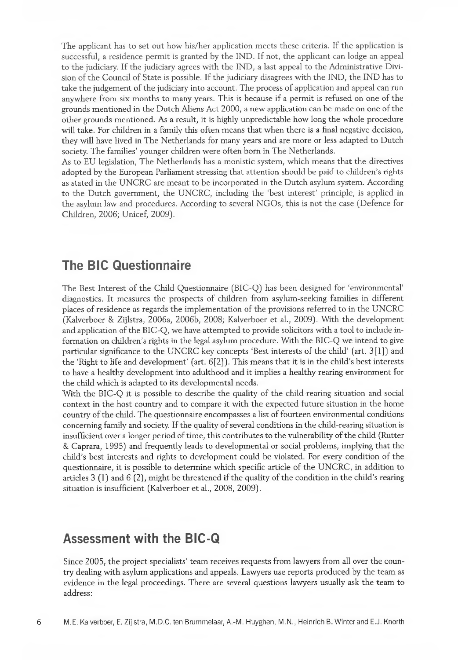The applicant has to set out how his/her application meets these criteria. If the application is successful, a residence permit is granted by the IND. If not, the applicant can lodge an appeal to the judiciary. If the judiciary agrees with the IND, a last appeal to the Administrative Division of the Council of State is possible. If the judiciary disagrees with the IND, the IND has to take the judgement of the judiciary into account. The process of application and appeal can run anywhere from six months to many years. This is because if a permit is refused on one of the grounds mentioned in the Dutch Aliens Act 2000, a new application can be made on one of the other grounds mentioned. As a result, it is highly unpredictable how long the whole procedure will take. For children in a family this often means that when there is a final negative decision, they will have lived in The Netherlands for many years and are more or less adapted to Dutch society. The families' younger children were often born in The Netherlands.

As to EU legislation, The Netherlands has a monistic system, which means that the directives adopted by the European Parliament stressing that attention should be paid to children's rights as stated in the UNCRC are meant to be incorporated in the Dutch asylum system. According to the Dutch government, the UNCRC, including the 'best interest' principle, is applied in the asylum law and procedures. According to several NGOs, this is not the case (Defence for Children, 2006; Unicef, 2009).

## **The BIC Questionnaire**

The Best Interest of the Child Questionnaire (BIC-Q) has been designed for 'environmental' diagnostics. It measures the prospects of children from asylum-seeking families in different places of residence as regards the implementation of the provisions referred to in the UNCRC (Kalverboer & Zijlstra, 2006a, 2006b, 2008; Kalverboer et ah, 2009). With the development and application of the BIC-Q, we have attempted to provide solicitors with a tool to include information on children's rights in the legal asylum procedure. With the BIC-Q we intend to give particular significance to the UNCRC key concepts 'Best interests of the child' (art. 3 [1 ]) and the 'Right to life and development' (art. 6[2]). This means that it is in the child's best interests to have a healthy development into adulthood and it implies a healthy rearing environment for the child which is adapted to its developmental needs.

With the BIC-Q it is possible to describe the quality of the child-rearing situation and social context in the host country and to compare it with the expected future situation in the home country of the child. The questionnaire encompasses a list of fourteen environmental conditions concerning family and society. If the quality of several conditions in the child-rearing situation is insufficient over a longer period of time, this contributes to the vulnerability of the child (Rutter & Caprara, 1995) and frequently leads to developmental or social problems, implying that the child's best interests and rights to development could be violated. For every condition of the questionnaire, it is possible to determine which specific article of the UNCRC, in addition to articles 3 (1) and 6 (2), might be threatened if the quality of the condition in the child's rearing situation is insufficient (Kalverboer et al., 2008, 2009).

## **Assessment with the BIC-Q**

Since 2005, the project specialists' team receives requests from lawyers from all over the country dealing with asylum applications and appeals. Lawyers use reports produced by the team as evidence in the legal proceedings. There are several questions lawyers usually ask the team to address: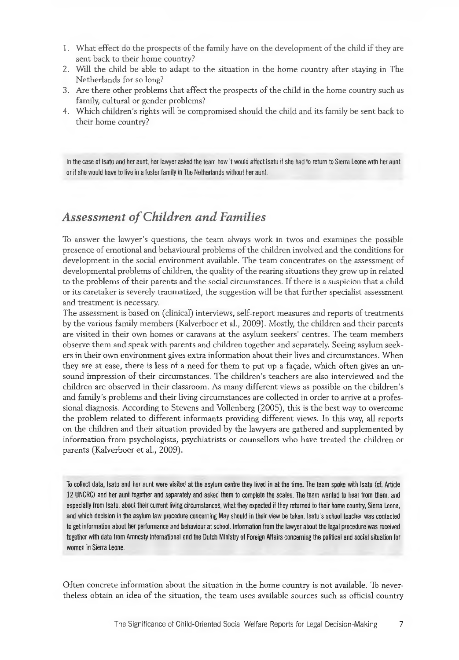- 1. What effect do the prospects of the family have on the development of the child if they are sent back to their home country?
- 2. Will the child be able to adapt to the situation in the home country after staying in The Netherlands for so long?
- 3. Are there other problems that affect the prospects of the child in the home country such as family, cultural or gender problems?
- 4. Which children's rights will be compromised should the child and its family be sent back to their home country?

In the case of Isatu and her aunt, her lawyer asked the team how it would affect Isatu if she had to return to Sierra Leone with her aunt or if she would have to live in a foster family in The Netherlands without her aunt.

## **Assessment of Children and Families**

To answer the lawyer's questions, the team always work in twos and examines the possible presence of emotional and behavioural problems of the children involved and the conditions for development in the social environment available. The team concentrates on the assessment of developmental problems of children, the quality of the rearing situations they grow up in related to the problems of their parents and the social circumstances. If there is a suspicion that a child or its caretaker is severely traumatized, the suggestion will be that further specialist assessment and treatment is necessary.

The assessment is based on (clinical) interviews, self-report measures and reports of treatments by the various family members (Kalverboer et al., 2009). Mostly, the children and their parents are visited in their own homes or caravans at the asylum seekers' centres. The team members observe them and speak with parents and children together and separately. Seeing asylum seekers in their own environment gives extra information about their lives and circumstances. When they are at ease, there is less of a need for them to put up a fagade, which often gives an unsound impression of their circumstances. The children's teachers are also interviewed and the children are observed in their classroom. As many different views as possible on the children's and family's problems and their living circumstances are collected in order to arrive at a professional diagnosis. According to Stevens and Vollenberg (2005), this is the best way to overcome the problem related to different informants providing different views. In this way, all reports on the children and their situation provided by the lawyers are gathered and supplemented by information from psychologists, psychiatrists or counsellors who have treated the children or parents (Kalverboer et al., 2009).

To collect data, Isatu and her aunt were visited at the asylum centre they lived in at the time. The team spoke with Isatu (cf. Article 12 UNCRC) and her aunt together and separately and asked them to complete the scales. The team wanted to hear from them, and especially from Isatu, about their current living circumstances, what they expected if they returned to their home country, Sierra Leone, and which decision in the asylum law procedure concerning May should in their view be taken. Isatu's school teacher was contacted to get information about her performance and behaviour at school. Information from the lawyer about the legal procedure was received together with data from Amnesty International and the Dutch Ministry of Foreign Affairs concerning the political and social situation for women in Sierra Leone.

Often concrete information about the situation in the home country is not available. To nevertheless obtain an idea of the situation, the team uses available sources such as official country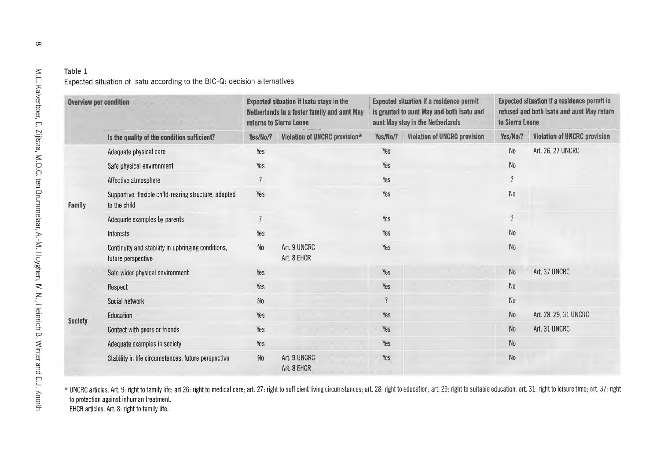### Expected situation of Isatu according to the BIC-Q: decision alternatives

| <b>Overview per condition</b> |                                                                          | Expected situation if Isatu stays in the<br>Netherlands in a foster family and aunt May<br>returns to Sierra Leone |                               | Expected situation if a residence permit<br>is granted to aunt May and both Isatu and<br>aunt May stay in the Netherlands |                                     | Expected situation if a residence permit is<br>refused and both Isatu and aunt May return<br>to Sierra Leone |                              |
|-------------------------------|--------------------------------------------------------------------------|--------------------------------------------------------------------------------------------------------------------|-------------------------------|---------------------------------------------------------------------------------------------------------------------------|-------------------------------------|--------------------------------------------------------------------------------------------------------------|------------------------------|
|                               | Is the quality of the condition sufficient?                              | Yes/No/?                                                                                                           | Violation of UNCRC provision* | Yes/No/?                                                                                                                  | <b>Violation of UNCRC provision</b> | Yes/No/?                                                                                                     | Violation of UNCRC provision |
| Family                        | Adequate physical care                                                   | Yes                                                                                                                |                               | Yes                                                                                                                       |                                     | No                                                                                                           | Art. 26, 27 UNCRC            |
|                               | Safe physical environment                                                | Yes                                                                                                                |                               | Yes                                                                                                                       |                                     | N <sub>0</sub>                                                                                               |                              |
|                               | Affective atmosphere                                                     | $\ddot{?}$                                                                                                         |                               | Yes                                                                                                                       |                                     | $\overline{\mathcal{L}}$                                                                                     |                              |
|                               | Supportive, flexible child-rearing structure, adapted<br>to the child    | Yes                                                                                                                |                               | Yes                                                                                                                       |                                     | $\mathbb{N}^0$                                                                                               |                              |
|                               | Adequate examples by parents                                             | $\ddot{?}$                                                                                                         |                               | Yes                                                                                                                       |                                     | $\overline{1}$                                                                                               |                              |
|                               | <b>Interests</b>                                                         | Yes                                                                                                                |                               | Yes                                                                                                                       |                                     | N <sub>0</sub>                                                                                               |                              |
|                               | Continuity and stability in upbringing conditions,<br>future perspective | No.                                                                                                                | Art. 9 UNCRC<br>Art. 8 EHCR   | Yes                                                                                                                       |                                     | N <sub>0</sub>                                                                                               |                              |
| Society                       | Safe wider physical environment                                          | Yes                                                                                                                |                               | Yes                                                                                                                       |                                     | N <sub>o</sub>                                                                                               | Art. 37 UNCRC                |
|                               | Respect                                                                  | Yes                                                                                                                |                               | Yes                                                                                                                       |                                     | No                                                                                                           |                              |
|                               | Social network                                                           | N <sub>0</sub>                                                                                                     |                               |                                                                                                                           |                                     | N <sub>0</sub>                                                                                               |                              |
|                               | Education                                                                | Yes                                                                                                                |                               | Yes                                                                                                                       |                                     | N <sub>0</sub>                                                                                               | Art. 28, 29, 31 UNCRC        |
|                               | Contact with peers or friends                                            | Yes                                                                                                                |                               | Yes                                                                                                                       |                                     | No                                                                                                           | Art. 31 UNCRC                |
|                               | Adequate examples in society                                             | Yes                                                                                                                |                               | Yes                                                                                                                       |                                     | No                                                                                                           |                              |
|                               | Stability in life circumstances, future perspective                      | No                                                                                                                 | Art. 9 UNCRC<br>Art. 8 EHCR   | Yes                                                                                                                       |                                     | N <sub>0</sub>                                                                                               |                              |

\* UNCRC articles. Art. 9: right to family life; art 26: right to medical care; art. 27: right to sufficient living circumstances; art. 28: right to education; art. 29: right to suitable education; art. 31: right to leisure to protection against inhuman treatment.

EHCR articles. Art. 8: right to family life.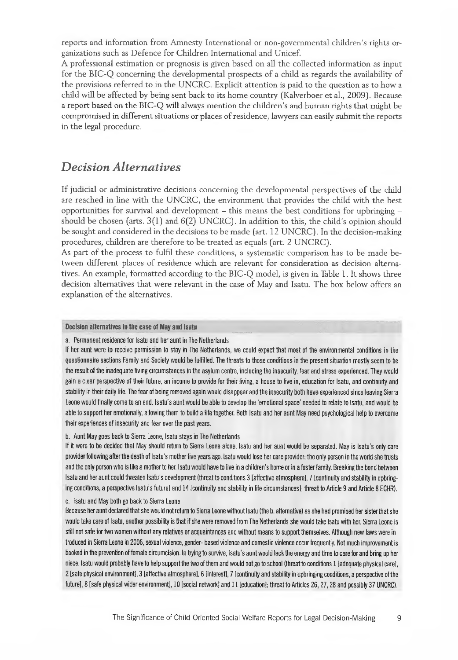reports and information from Amnesty International or non-governmental children's rights organizations such as Defence for Children International and Unicef.

A professional estimation or prognosis is given based on all the collected information as input for the BIC-Q concerning the developmental prospects of a child as regards the availability of the provisions referred to in the UNCRC. Explicit attention is paid to the question as to how a child will be affected by being sent back to its home country (Kalverboer et ah, 2009). Because a report based on the BIC-Q will always mention the children's and human rights that might be compromised in different situations or places of residence, lawyers can easily submit the reports in the legal procedure.

## *Decision Alternatives*

If judicial or administrative decisions concerning the developmental perspectives of the child are reached in line with the UNCRC, the environment that provides the child with the best opportunities for survival and development  $-$  this means the best conditions for upbringing  $$ should be chosen (arts. 3(1) and 6(2) UNCRC). In addition to this, the child's opinion should be sought and considered in the decisions to be made (art. 12 UNCRC). In the decision-making procedures, children are therefore to be treated as equals (art. 2 UNCRC).

As part of the process to fulfil these conditions, a systematic comparison has to be made between different places of residence which are relevant for consideration as decision alternatives. An example, formatted according to the BIC-Q model, is given in Table 1. It shows three decision alternatives that were relevant in the case of May and Isatu. The box below offers an explanation of the alternatives.

#### **Decision alternatives in the case of May and Isatu**

a. Permanent residence for Isatu and her aunt in The Netherlands

If her aunt were to receive permission to stay in The Netherlands, we could expect that most of the environmental conditions in the questionnaire sections Family and Society would be fulfilled. The threats to those conditions in the present situation mostly seem to be the result of the inadequate living circumstances in the asylum centre, including the insecurity, fear and stress experienced. They would gain a clear perspective of their future, an income to provide for their living, a house to live in, education for Isatu, and continuity and stability in their daily life. The fear of being removed again would disappear and the insecurity both have experienced since leaving Sierra Leone would finally come to an end. Isatu's aunt would be able to develop the 'emotional space' needed to relate to Isatu, and would be able to support her emotionally, allowing them to build a life together. Both Isatu and her aunt May need psychological help to overcome their experiences of insecurity and fear over the past years.

#### b. Aunt May goes back to Sierra Leone, Isatu stays in The Netherlands

If it were to be decided that May should return to Sierra Leone alone, Isatu and her aunt would be separated. May is Isatu's only care provider following after the death of Isatu's mother five years ago. Isatu would lose her care provider; the only person in the world she trusts and the only person who is like a mother to her. Isatu would have to live in a children's home or in a foster family. Breaking the bond between Isatu and her aunt could threaten Isatu's development (threat to conditions 3 [affective atmosphere], 7 [continuity and stability in upbringing conditions, a perspective Isatu's future] and 14 [continuity and stability in life circumstances!; threat to Article 9 and Article 8 ECHR).

c. Isatu and May both go back to Sierra Leone

Because her aunt declared that she would not return to Sierra Leone without Isatu (the b. alternative) as she had promised her sister that she would take care of Isatu, another possibility is that if she were removed from The Netherlands she would take Isatu with her. Sierra Leone is still not safe for two women without any relatives or acquaintances and without means to support themselves. Although new laws were introduced in Sierra Leone in 2006, sexual violence, gender- based violence and domestic violence occur frequently. Not much improvement is booked in the prevention of female circumcision. In trying to survive, Isatu's aunt would lack the energy and time to care for and bring up her niece. Isatu would probably have to help support the two of them and would not go to school (threat to conditions 1 [adequate physical care], 2 [safe physical environment], 3 [affective atmosphere], 6 [interestl, 7 [continuity and stability in upbringing conditions, a perspective of the future], 8 [safe physical wider environment], 10 [social network] and 11 [education]; threat to Articles 26, 27, 28 and possibly 37 UNCRC).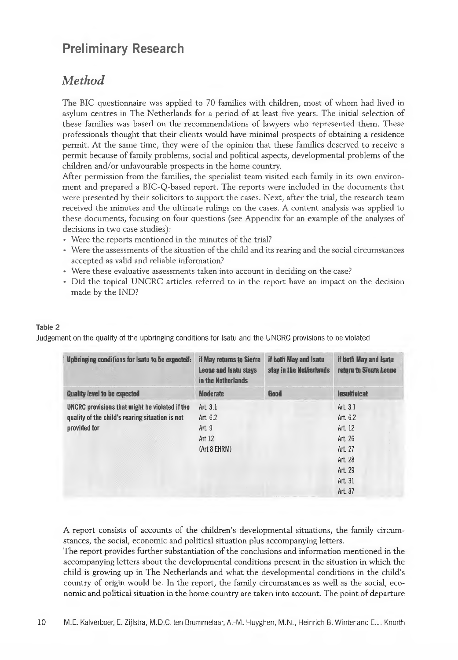# **Preliminary Research**

## *Method*

The BIC questionnaire was applied to 70 families with children, most of whom had lived in asylum centres in The Netherlands for a period of at least five years. The initial selection of these families was based on the recommendations of lawyers who represented them. These professionals thought that their clients would have minimal prospects of obtaining a residence permit. At the same time, they were of the opinion that these families deserved to receive a permit because of family problems, social and political aspects, developmental problems of the children and/or unfavourable prospects in the home country.

After permission from the families, the specialist team visited each family in its own environment and prepared a BIC-Q-based report. The reports were included in the documents that were presented by their solicitors to support the cases. Next, after the trial, the research team received the minutes and the ultimate rulings on the cases. A content analysis was applied to these documents, focusing on four questions (see Appendix for an example of the analyses of decisions in two case studies) :

- Were the reports mentioned in the minutes of the trial?
- Were the assessments of the situation of the child and its rearing and the social circumstances accepted as valid and reliable information?
- Were these evaluative assessments taken into account in deciding on the case?
- Did the topical UNCRC articles referred to in the report have an impact on the decision made by the IND?

### Table 2

Judgement on the quality of the upbringing conditions for Isatu and the UNCRC provisions to be violated

| Upbringing conditions for Isatu to be expected: | if May returns to Sierra<br>Leone and Isatu stays<br>in the Netherlands | if both May and Isatu<br>stay in the Netherlands | if both May and Isatu<br>return to Sierra Leone |
|-------------------------------------------------|-------------------------------------------------------------------------|--------------------------------------------------|-------------------------------------------------|
| <b>Quality level to be expected</b>             | <b>Moderate</b>                                                         | Good                                             | Insufficient                                    |
| UNCRC provisions that might be violated if the  | Art. $3.1$                                                              |                                                  | Art. $3.1$                                      |
| quality of the child's rearing situation is not | Art. 6.2                                                                |                                                  | Art. 6.2                                        |
| provided for                                    | Art. 9                                                                  |                                                  | Art. 12                                         |
|                                                 | Art 12                                                                  |                                                  | Art. 26                                         |
|                                                 | (Art 8 EHRM)                                                            |                                                  | Art. 27                                         |
|                                                 |                                                                         |                                                  | Art. 28                                         |
|                                                 |                                                                         |                                                  | Art. 29                                         |
|                                                 |                                                                         |                                                  | Art. 31                                         |
|                                                 |                                                                         |                                                  | Art. 37                                         |

A report consists of accounts of the children's developmental situations, the family circumstances, the social, economic and political situation plus accompanying letters.

The report provides further substantiation of the conclusions and information mentioned in the accompanying letters about the developmental conditions present in the situation in which the child is growing up in The Netherlands and what the developmental conditions in the child's country of origin would be. In the report, the family circumstances as well as the social, economic and political situation in the home country are taken into account. The point of departure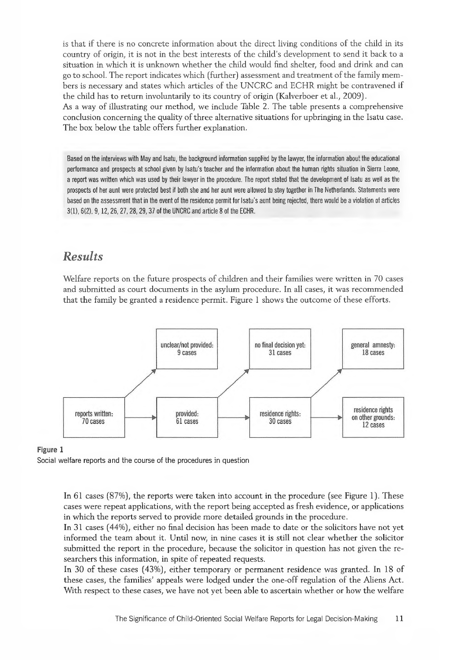is that if there is no concrete information about the direct living conditions of the child in its country of origin, it is not in the best interests of the child's development to send it back to a situation in which it is unknown whether the child would find shelter, food and drink and can go to school. The report indicates which (further) assessment and treatment of the family members is necessary and states which articles of the UNCRC and ECHR might be contravened if the child has to return involuntarily to its country of origin (Kalverboer et al., 2009).

As a way of illustrating our method, we include Table 2. The table presents a comprehensive conclusion concerning the quality of three alternative situations for upbringing in the Isatu case. The box below the table offers further explanation.

Based on the interviews with May and Isatu, the background information supplied by the lawyer, the information about the educational performance and prospects at school given by Isatu's teacher and the information about the human rights situation in Sierra Leone, a report was written which was used by their lawyer in the procedure. The report stated that the development of Isatu as well as the prospects of her aunt were protected best if both she and her aunt were allowed to stay together in The Netherlands. Statements were based on the assessment that in the event of the residence permit for Isatu's aunt being rejected, there would be a violation of articles 3(1), 6(2). 9,12,26, 27,28,29,37 of the UNCRC and article 8 of the ECHR.

## *Results*

Welfare reports on the future prospects of children and their families were written in 70 cases and submitted as court documents in the asylum procedure. In all cases, it was recommended that the family be granted a residence permit. Figure 1 shows the outcome of these efforts.



### **Figure 1**

Social welfare reports and the course of the procedures in question

In 61 cases (87%), the reports were taken into account in the procedure (see Figure 1). These cases were repeat applications, with the report being accepted as fresh evidence, or applications in which the reports served to provide more detailed grounds in the procedure.

In 31 cases (44%), either no final decision has been made to date or the solicitors have not yet informed the team about it. Until now, in nine cases it is still not clear whether the solicitor submitted the report in the procedure, because the solicitor in question has not given the researchers this information, in spite of repeated requests.

In 30 of these cases (43%), either temporary or permanent residence was granted. In 18 of these cases, the families' appeals were lodged under the one-off regulation of the Aliens Act. With respect to these cases, we have not yet been able to ascertain whether or how the welfare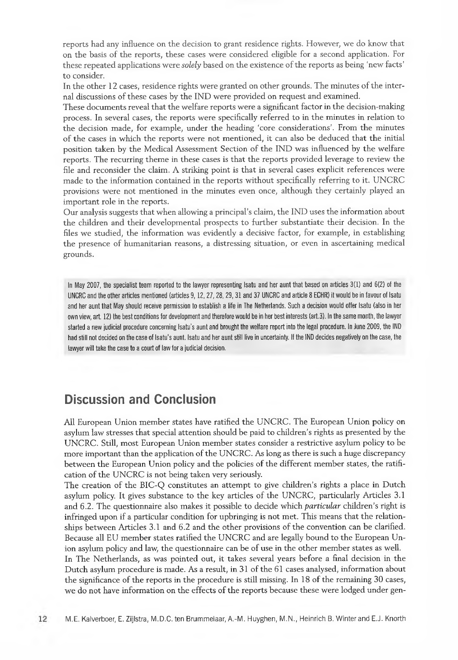reports had any influence on the decision to grant residence rights. However, we do know that on the basis of the reports, these cases were considered eligible for a second application. For these repeated applications were *solely* based on the existence of the reports as being 'new facts' to consider.

In the other 12 cases, residence rights were granted on other grounds. The minutes of the internal discussions of these cases by the IND were provided on request and examined.

These documents reveal that the welfare reports were a significant factor in the decision-making process. In several cases, the reports were specifically referred to in the minutes in relation to the decision made, for example, under the heading 'core considerations'. From the minutes of the cases in which the reports were not mentioned, it can also be deduced that the initial position taken by the Medical Assessment Section of the IND was influenced by the welfare reports. The recurring theme in these cases is that the reports provided leverage to review the file and reconsider the claim. A striking point is that in several cases explicit references were made to the information contained in the reports without specifically referring to it. UNCRC provisions were not mentioned in the minutes even once, although they certainly played an important role in the reports.

Our analysis suggests that when allowing a principal's claim, the IND uses the information about the children and their developmental prospects to further substantiate their decision. In the files we studied, the information was evidently a decisive factor, for example, in establishing the presence of humanitarian reasons, a distressing situation, or even in ascertaining medical grounds.

In May 2007, the specialist team reported to the lawyer representing Isatu and her aunt that based on articles 3(1) and 6(2) of the UNCRC and the other articles mentioned (articles 9,12,27,28, 29,31 and 37 UNCRC and article 8 ECHR) it would be in favour of Isatu and her aunt that May should receive permission to establish a life in The Netherlands. Such a decision would otter Isatu (also in her own view, art. 12) the best conditions for development and therefore would be in her best interests (art.3). In the same month, the lawyer started a new judicial procedure concerning Isatu's aunt and brought the welfare report into the legal procedure. In June 2009, the IND had still not decided on the case of Isatu's aunt. Isatu and her aunt still live in uncertainty. If the IND decides negatively on the case, the lawyer will take the case to a court of law for a judicial decision.

## **Discussion and Conclusion**

All European Union member states have ratified the UNCRC. The European Union policy on asylum law stresses that special attention should be paid to children's rights as presented by the UNCRC. Still, most European Union member states consider a restrictive asylum policy to be more important than the application of the UNCRC. As long as there is such a huge discrepancy between the European Union policy and the policies of the different member states, the ratification of the UNCRC is not being taken very seriously.

The creation of the BIC-Q constitutes an attempt to give children's rights a place in Dutch asylum policy. It gives substance to the key articles of the UNCRC, particularly Articles 3.1 and 6.2. The questionnaire also makes it possible to decide which *particular* children's right is infringed upon if a particular condition for upbringing is not met. This means that the relationships between Articles 3.1 and 6.2 and the other provisions of the convention can be clarified. Because all EU member states ratified the UNCRC and are legally bound to the European Union asylum policy and law, the questionnaire can be of use in the other member states as well.

In The Netherlands, as was pointed out, it takes several years before a final decision in the Dutch asylum procedure is made. As a result, in 31 of the 61 cases analysed, information about the significance of the reports in the procedure is still missing. In 18 of the remaining 30 cases, we do not have information on the effects of the reports because these were lodged under gen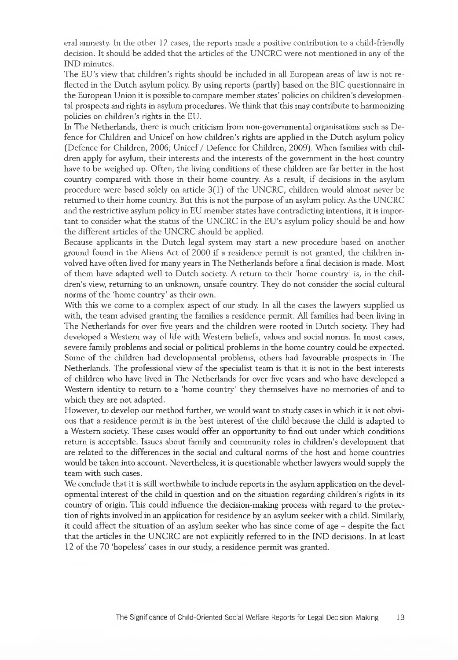eral amnesty. In the other 12 cases, the reports made a positive contribution to a child-friendly decision. It should be added that the articles of the UNCRC were not mentioned in any of the IND minutes.

The EU's view that children's rights should be included in all European areas of law is not reflected in the Dutch asylum policy. By using reports (partly) based on the BIC questionnaire in the European Union it is possible to compare member states' policies on children's developmental prospects and rights in asylum procedures. We think that this may contribute to harmonizing policies on children's rights in the EU.

In The Netherlands, there is much criticism from non-governmental organisations such as Defence for Children and Unicef on how children's rights are applied in the Dutch asylum policy (Defence for Children, 2006; Unicef / Defence for Children, 2009). When families with children apply for asylum, their interests and the interests of the government in the host country have to be weighed up. Often, the living conditions of these children are far better in the host country compared with those in their home country. As a result, if decisions in the asylum procedure were based solely on article 3(1) of the UNCRC, children would almost never be returned to their home country. But this is not the purpose of an asylum policy. As the UNCRC and the restrictive asylum policy in EU member states have contradicting intentions, it is important to consider what the status of the UNCRC in the EU's asylum policy should be and how the different articles of the UNCRC should be applied.

Because applicants in the Dutch legal system may start a new procedure based on another ground found in the Aliens Act of 2000 if a residence permit is not granted, the children involved have often lived for many years in The Netherlands before a final decision is made. Most of them have adapted well to Dutch society. A return to their 'home country' is, in the children's view, returning to an unknown, unsafe country. They do not consider the social cultural norms of the 'home country' as their own.

With this we come to a complex aspect of our study. In all the cases the lawyers supplied us with, the team advised granting the families a residence permit. All families had been living in The Netherlands for over five years and the children were rooted in Dutch society. They had developed a Western way of life with Western beliefs, values and social norms. In most cases, severe family problems and social or political problems in the home country could be expected. Some of the children had developmental problems, others had favourable prospects in The Netherlands. The professional view of the specialist team is that it is not in the best interests of children who have lived in The Netherlands for over five years and who have developed a Western identity to return to a 'home country' they themselves have no memories of and to which they are not adapted.

However, to develop our method further, we would want to study cases in which it is not obvious that a residence permit is in the best interest of the child because the child is adapted to a Western society. These cases would offer an opportunity to find out under which conditions return is acceptable. Issues about family and community roles in children's development that are related to the differences in the social and cultural norms of the host and home countries would be taken into account. Nevertheless, it is questionable whether lawyers would supply the team with such cases.

We conclude that it is still worthwhile to include reports in the asylum application on the developmental interest of the child in question and on the situation regarding children's rights in its country of origin. This could influence the decision-making process with regard to the protection of rights involved in an application for residence by an asylum seeker with a child. Similarly, it could affect the situation of an asylum seeker who has since come of age - despite the fact that the articles in the UNCRC are not explicitly referred to in the IND decisions. In at least 12 of the 70 'hopeless' cases in our study, a residence permit was granted.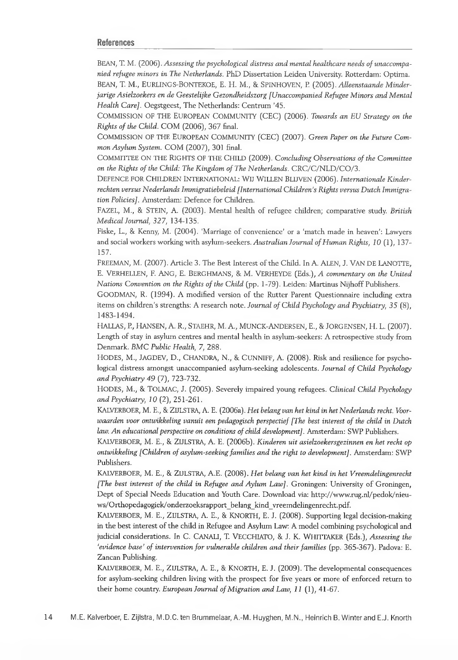#### **References**

BEAN, T. M. (2006) . *Assessing the psychological distress and mental healthcare needs of unaccompanied refugee minors in The Netherlands.* PhD Dissertation Leiden University. Rotterdam: Optima.

BEAN, T. M., EURLINGS-BONTEKOE, E. H. M., & SPINHOVEN, P. (2005) . *Alleenstaande Minderjarige Asielzoekers en de Geestelijke Gezondheidszorg [Unaccompanied Refugee Minors and Mental Health Care],* Oegstgeest, The Netherlands: Centrum '45.

COMMISSION OF THE EUROPEAN COMMUNITY (CEC) (2006). *Towards an EU Strategy on the Rights of the Child.* COM (2006), 367 final.

COMMISSION OF THE EUROPEAN Community (CEC) (2007) . *Green Paper on the Future Common Asylum System.* COM (2007), 301 final.

COMMITTEE ON THE RIGHTS OF THE CHILD (2009) . *Concluding Observations of the Committee on the Rights of the Child: The Kingdom of The Netherlands.* CRC/C/NLD/CO/3.

DEFENCE FOR CHILDREN INTERNATIONAL: WlJ WILLEN BLIJVEN (2006). *Internationale Kinder*rechten versus Nederlands Immigratiebeleid [International Children's Rights versus Dutch Immigra*tion Policies],* Amsterdam: Defence for Children.

FAZEL, M., & STEIN, A. (2003) , Mental health of refugee children; comparative study. *British Medical Journal, 327,* 134-135.

Fiske, L., & Kenny, M. (2004) , 'Marriage of convenience' or a 'match made in heaven': Lawyers and social workers working with asylum-seekers. *Australian Journal of Human Rights, 10* (1), 137- 157.

FREEMAN, M. (2007). Article 3. The Best Interest of the Child. In A. ALEN, J. VAN DE LANOTTE, E. VERHELLEN, F. ANG, E. BERGHMANS, & M. VERHEYDE (Eds.), *A commentary on the United Nations Convention on the Rights of the Child* (pp. 1-79) . Leiden: Martinus Nijhoff Publishers.

GOODMAN, R. (1994) . A modified version of the Rutter Parent Questionnaire including extra items on children's strengths: A research note. *Journal of Child Psychology and Psychiatry, 35* (8), 1483-1494.

HALLAS, P., HANSEN, A. R., STAEHR, M. A., MUNCK-ANDERSEN, E., & JORGENSEN, H. L. (2007). Length of stay in asylum centres and mental health in asylum-seekers: A retrospective study from Denmark. *BMC Public Health,* 7, 288.

HODES, M., JAGDEV, D., CHANDRA, N., & CUNNIFF, A. (2008) . Risk and resilience for psychological distress amongst unaccompanied asylum-seeking adolescents. *Journal of Child Psychology and Psychiatry 49* (7) , 723-732.

HODES, M., & TOLMAC, J. (2005) , Severely impaired young refugees. *Clinical Child Psychology and Psychiatry, 10* (2), 251-261.

KALVERBOER, M. E., & ZIJLSTRA, A. E. (2006a). *Het belang van het kind in het Nederlands recht. Voorwaarden voor ontwikkeling vanuit een pedagogisch perspectief [The best interest of the child in Dutch law. An educational perspective on conditions of child development].* Amsterdam: SWP Publishers.

KALVERBOER, M. E., & ZIJLSTRA, A. E. (2006b). *Kinderen uit asielzoekersgezinnen en het recht op ontwikkeling [Children of asylum-seeking families and the right to development],* Amsterdam: SWP Publishers.

KALVERBOER, M. E., & ZIJLSTRA, A.E. (2008). *Het belang van het kind in het Vreemdelingenrecht [The best interest of the child in Refugee and Aylum Law],* Groningen: University of Groningen, Dept of Special Needs Education and Youth Care. Download via: [http://www.rug.nl/pedok/nieu](http://www.rug.nl/pedok/nieu-ws/Orthopedagogiek/onderzoeksrapport_belang_kind_vreemdelingenrecht.pdf)[ws/Orthopedagogiek/onderzoeksrapport\\_belang\\_kind\\_vreemdelingenrecht.pdf.](http://www.rug.nl/pedok/nieu-ws/Orthopedagogiek/onderzoeksrapport_belang_kind_vreemdelingenrecht.pdf)

KALVERBOER, M. E., ZIJLSTRA, A. E., & KNORTH, E. J. (2008). Supporting legal decision-making in the best interest of the child in Refugee and Asylum Law: A model combining psychological and judicial considerations. In C. CANALI, T. VECCHIATO, & J. K. WHITTAKER (Eds.), *Assessing the 'evidence base' of intervention for vulnerable children and their families* (pp. 365-367). Padova: E. Zancan Publishing.

KALVERBOER, M. E., ZIJLSTRA, A. E., & KNORTH, E. J. (2009). The developmental consequences for asylum-seeking children living with the prospect for five years or more of enforced return to their home country. *European Journal of Migration and Law, 11* (1), 41-67.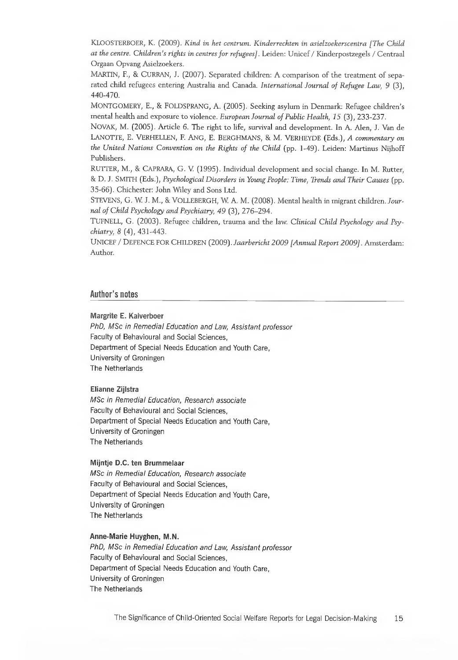KLOOSTERBOER, K. (2009). *Kind in het centrum. Kinderrechten in asielzoekerscentra [The Child at the centre. Children's rights in centres for refugees],* Leiden: Unicef / Kinderpostzegels / Centraal Orgaan Opvang Asielzoekers.

MARTIN, F., & CURRAN, J. (2007). Separated children: A comparison of the treatment of separated child refugees entering Australia and Canada. *International Journal of Refugee Law, 9* (3), 440-470.

MONTGOMERY, E., & FOLDSPRANG, A. (2005). Seeking asylum in Denmark: Refugee children's mental health and exposure to violence. *European Journal of Public Health, 15* (3), 233-237.

NOVAK, M. (2005). Article 6. The right to life, survival and development. In A. Alen, J. Van de LANOTTE, E. VERHELLEN, F. ANG, E. BERGHMANS, & M. VERHEYDE (Eds.), *A commentary on the United Nations Convention on the Rights of the Child* (pp. 1-49). Leiden: Martinus Nijhoff Publishers.

RUTTER, M., & CARRARA, G. V (1995). Individual development and social change. In M. Rutter, & D. J. SMITH (Eds.), *Psychological Disorders in Young People: Time, Trends and Their Causes* (pp. 35-66). Chichester: John Wiley and Sons Ltd.

STEVENS, G. W J. M., & VOLLEBERGH, W A. M. (2008). Mental health in migrant children. *Journal of Child Psychology and Psychiatry, 49* (3), 276-294.

TUFNELL, G. (2003). Refugee children, trauma and the law. *Clinical Child Psychology and Psychiatry, 8* (4), 431-443.

UNICEF / DEFENCE FOR CHILDREN (2009). *Jaarbericht 2009 [Annual Report 2009],* Amsterdam: Author.

#### **Author's notes**

#### **M argrite E. Kalverboer**

PhD, MSc in Remedial Education and Law, Assistant professor Faculty of Behavioural and Social Sciences, Department of Special Needs Education and Youth Care, University of Groningen The Netherlands

#### **Elianne Zijlstra**

*MSc in Remedial Education, Research associate* Faculty of Behavioural and Social Sciences, Department of Special Needs Education and Youth Care, University of Groningen The Netherlands

#### **Mijntje D.C. ten Brummelaar**

*MSc in Remedial Education, Research associate* Faculty of Behavioural and Social Sciences, Department of Special Needs Education and Youth Care, University of Groningen The Netherlands

#### Anne-Marie Huyghen, M.N.

PhD, MSc in Remedial Education and Law, Assistant professor Faculty of Behavioural and Social Sciences, Department of Special Needs Education and Youth Care, University of Groningen The Netherlands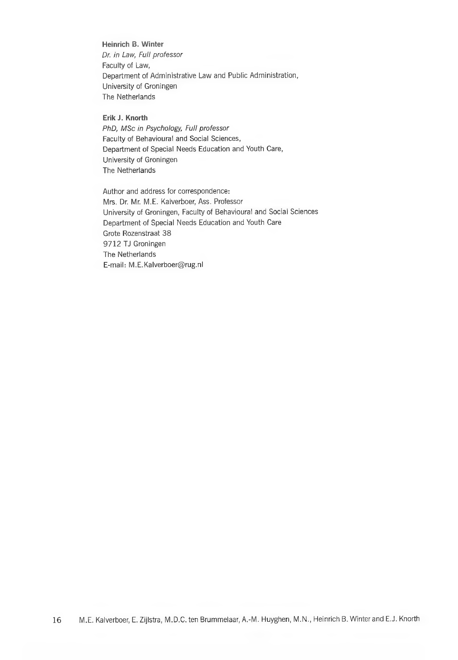**Heinrich B. Winter** *Dr. in Law, Full professor* Faculty of Law, Department of Administrative Law and Public Administration, University of Groningen The Netherlands

**Erik J. Knorth** PhD, MSc in Psychology, Full professor Faculty of Behavioural and Social Sciences, Department of Special Needs Education and Youth Care, University of Groningen The Netherlands

Author and address for correspondence: Mrs. Dr. Mr. M.E. Kalverboer, Ass. Professor University of Groningen, Faculty of Behavioural and Social Sciences Department of Special Needs Education and Youth Care Grote Rozenstraat 38 9712 TJ Groningen The Netherlands E-mail: [M.E.Kalverboer@rug.nl](mailto:M.E.Kalverboer@rug.nl)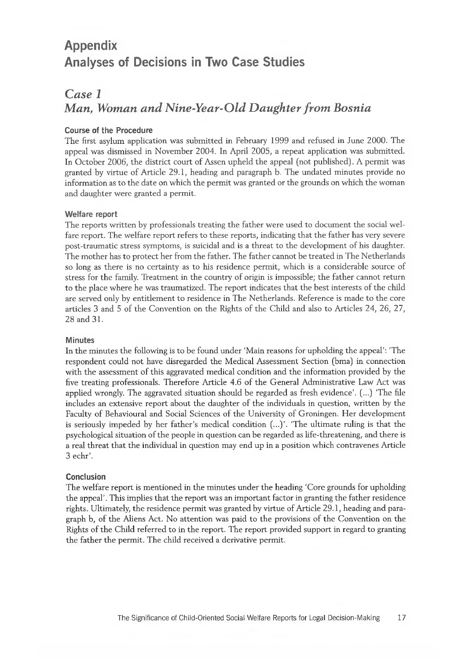# **Appendix Analyses of Decisions in Two Case Studies**

## *Case 1 Man, Woman and Nine-Year-Old Daughter from Bosnia*

### **Course of the Procedure**

The first asylum application was submitted in February 1999 and refused in June 2000. The appeal was dismissed in November 2004. In April 2005, a repeat application was submitted. In October 2006, the district court of Assen upheld the appeal (not published). A permit was granted by virtue of Article 29.1, heading and paragraph b. The undated minutes provide no information as to the date on which the permit was granted or the grounds on which the woman and daughter were granted a permit.

#### **Welfare report**

The reports written by professionals treating the father were used to document the social welfare report. The welfare report refers to these reports, indicating that the father has very severe post-traumatic stress symptoms, is suicidal and is a threat to the development of his daughter. The mother has to protect her from the father. The father cannot be treated in The Netherlands so long as there is no certainty as to his residence permit, which is a considerable source of stress for the family. Treatment in the country of origin is impossible; the father cannot return to the place where he was traumatized. The report indicates that the best interests of the child are served only by entitlement to residence in The Netherlands. Reference is made to the core articles 3 and 5 of the Convention on the Rights of the Child and also to Articles 24, 26, 27, 28 and 31.

### **Minutes**

In the minutes the following is to be found under 'Main reasons for upholding the appeal': 'The respondent could not have disregarded the Medical Assessment Section (bma) in connection with the assessment of this aggravated medical condition and the information provided by the five treating professionals. Therefore Article 4.6 of the General Administrative Law Act was applied wrongly. The aggravated situation should be regarded as fresh evidence'. (...) 'The file includes an extensive report about the daughter of the individuals in question, written by the Faculty of Behavioural and Social Sciences of the University of Groningen. Her development is seriously impeded by her father's medical condition (...)'. 'The ultimate ruling is that the psychological situation of the people in question can be regarded as life-threatening, and there is a real threat that the individual in question may end up in a position which contravenes Article 3 echr'.

### **Conclusion**

The welfare report is mentioned in the minutes under the heading 'Core grounds for upholding the appeal'. This implies that the report was an important factor in granting the father residence rights. Ultimately, the residence permit was granted by virtue of Article 29.1, heading and paragraph b, of the Aliens Act. No attention was paid to the provisions of the Convention on the Rights of the Child referred to in the report. The report provided support in regard to granting the father the permit. The child received a derivative permit.